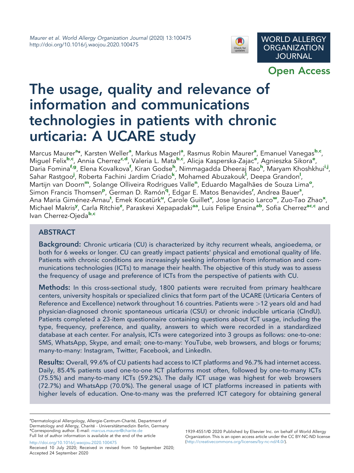

Open Access

# The usage, quality and relevance of information and communications technologies in patients with chronic urticaria: A UCARE study

M[a](#page-0-0)rcus Maurer<sup>a</sup>\*, Karsten Weller<sup>a</sup>, Markus Magerl<sup>a</sup>, Rasmus Ro[b](#page-12-0)in Maurer<sup>a</sup>, Emanuel Vanegas<sup>b,[c](#page-12-1)</sup>, Miguel Felix<sup>[b](#page-12-0),[c](#page-12-1)</sup>, Annia Cherrez<sup>c,[d](#page-12-2)</sup>, Val[e](#page-12-3)ria L. Mata<sup>b,c</sup>, Alicja Kasperska-Zajac<sup>e</sup>, Agnieszka Sikora<sup>e</sup>, Daria Fomina<sup>[f](#page-12-4),[g](#page-12-5)</sup>, Elena Kovalkova<sup>f</sup>, Kiran Godse<sup>[h](#page-12-6)</sup>, N[i](#page-12-7)mmagadda Dheera[j](#page-12-8) Rao<sup>h</sup>, Maryam Khoshkhui<sup>i,j</sup>, Sahar Rastgoo<sup>[j](#page-12-8)</sup>, Roberta Fachini Jardim Criado<sup>[k](#page-12-9)</sup>, Mohamed Abuzakouk<sup>1</sup>, Deepa Grandon<sup>i</sup>, Martijn van Doorn<sup>[m](#page-12-11)</sup>, Sola[n](#page-12-12)ge Olliveira R[o](#page-12-13)drigues Valle<sup>n</sup>, Eduardo Magalhães de Souza Lima<sup>o</sup>, Simon Francis Thomsen<su[p](#page-12-14)>p</sup>, German D. Ramón<sup>[q](#page-12-15)</sup>, Edga[r](#page-12-16) E. Mato[s](#page-12-17) Benavides<sup>r</sup>, Andrea Bauer<sup>s</sup>, Ana Maria Giménez-Arnau<sup>[t](#page-12-18)</s[u](#page-12-19)p>, Emek Kocatürk<sup>u</sup>, Carole Guillet<sup>[v](#page-12-20)</sup>, Jose Ignacio Larco<sup>[w](#page-12-21)</sup>, Zuo-Tao Zhao<sup>[x](#page-12-22)</sup>, Michael Makris<sup>[y](#page-12-23)</sup>, Carla Ritchie<sup>[z](#page-12-24)</sup>, Paraskevi Xepapadaki<sup>[aa](#page-12-25)</sup>, Luis Felipe Ensina<sup>[ab](#page-12-26)</sup>, Sofia Cherrez<sup>[ac](#page-12-27),[c](#page-12-1)</sup> and Ivan Cherrez-Ojeda<sup>[b](#page-12-0),[c](#page-12-1)</sup>

# ABSTRACT

**Background:** Chronic urticaria (CU) is characterized by itchy recurrent wheals, angioedema, or both for 6 weeks or longer. CU can greatly impact patients' physical and emotional quality of life. Patients with chronic conditions are increasingly seeking information from information and communications technologies (ICTs) to manage their health. The objective of this study was to assess the frequency of usage and preference of ICTs from the perspective of patients with CU.

Methods: In this cross-sectional study, 1800 patients were recruited from primary healthcare centers, university hospitals or specialized clinics that form part of the UCARE (Urticaria Centers of Reference and Excellence) network throughout 16 countries. Patients were >12 years old and had physician-diagnosed chronic spontaneous urticaria (CSU) or chronic inducible urticaria (CIndU). Patients completed a 23-item questionnaire containing questions about ICT usage, including the type, frequency, preference, and quality, answers to which were recorded in a standardized database at each center. For analysis, ICTs were categorized into 3 groups as follows: one-to-one: SMS, WhatsApp, Skype, and email; one-to-many: YouTube, web browsers, and blogs or forums; many-to-many: Instagram, Twitter, Facebook, and LinkedIn.

Results: Overall, 99.6% of CU patients had access to ICT platforms and 96.7% had internet access. Daily, 85.4% patients used one-to-one ICT platforms most often, followed by one-to-many ICTs (75.5%) and many-to-many ICTs (59.2%). The daily ICT usage was highest for web browsers (72.7%) and WhatsApp (70.0%). The general usage of ICT platforms increased in patients with higher levels of education. One-to-many was the preferred ICT category for obtaining general

<span id="page-0-0"></span><sup>a</sup>Dermatological Allergology, Allergie-Centrum-Charité, Department of Dermatology and Allergy, Charité - Universitätsmedizin Berlin, Germany \*Corresponding author. E-mail: [marcus.maurer@charite.de](mailto:marcus.maurer@charite.de)

Full list of author information is available at the end of the article

[http://doi.org/10.1016/j.waojou.2020.100475](https://doi.org/10.1016/j.waojou.2020.100475) Received 10 July 2020; Received in revised from 10 September 2020;

1939-4551/© 2020 Published by Elsevier Inc. on behalf of World Allergy Organization. This is an open access article under the CC BY-NC-ND license ([http://creativecommons.org/licenses/by-nc-nd/4.0/\)](http://creativecommons.org/licenses/by-nc-nd/4.0/).

Accepted 24 September 2020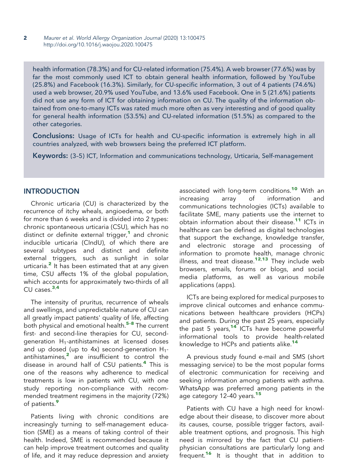health information (78.3%) and for CU-related information (75.4%). A web browser (77.6%) was by far the most commonly used ICT to obtain general health information, followed by YouTube (25.8%) and Facebook (16.3%). Similarly, for CU-specific information, 3 out of 4 patients (74.6%) used a web browser, 20.9% used YouTube, and 13.6% used Facebook. One in 5 (21.6%) patients did not use any form of ICT for obtaining information on CU. The quality of the information obtained from one-to-many ICTs was rated much more often as very interesting and of good quality for general health information (53.5%) and CU-related information (51.5%) as compared to the other categories.

Conclusions: Usage of ICTs for health and CU-specific information is extremely high in all countries analyzed, with web browsers being the preferred ICT platform.

Keywords: (3–5) ICT, Information and communications technology, Urticaria, Self-management

# **INTRODUCTION**

Chronic urticaria (CU) is characterized by the recurrence of itchy wheals, angioedema, or both for more than 6 weeks and is divided into 2 types: chronic spontaneous urticaria (CSU), which has no distinct or definite external trigger, $1$  and chronic inducible urticaria (CIndU), of which there are several subtypes and distinct and definite external triggers, such as sunlight in solar urticaria. $<sup>2</sup>$  $<sup>2</sup>$  $<sup>2</sup>$  It has been estimated that at any given</sup> time, CSU affects 1% of the global population, which accounts for approximately two-thirds of all  $CU$  cases. $3,4$  $3,4$  $3,4$ 

The intensity of pruritus, recurrence of wheals and swellings, and unpredictable nature of CU can all greatly impact patients' quality of life, affecting both physical and emotional health.<sup>[5](#page-12-32)-8</sup> The current first- and second-line therapies for CU, secondgeneration  $H_1$ -antihistamines at licensed doses and up dosed (up to 4x) second-generation  $H_{1}$ -antihistamines,<sup>[2](#page-12-29)</sup> are insufficient to control the disease in around half of CSU patients.<sup>[4](#page-12-31)</sup> This is one of the reasons why adherence to medical treatments is low in patients with CU, with one study reporting non-compliance with recommended treatment regimens in the majority (72%) of patients.<sup>[9](#page-13-0)</sup>

Patients living with chronic conditions are increasingly turning to self-management education (SME) as a means of taking control of their health. Indeed, SME is recommended because it can help improve treatment outcomes and quality of life, and it may reduce depression and anxiety associated with long-term conditions.<sup>[10](#page-13-1)</sup> With an<br>increasing array of information and increasing array of information and communications technologies (ICTs) available to facilitate SME, many patients use the internet to obtain information about their disease.[11](#page-13-2) ICTs in healthcare can be defined as digital technologies that support the exchange, knowledge transfer, and electronic storage and processing of information to promote health, manage chronic illness, and treat disease.<sup>[12](#page-13-3),[13](#page-13-4)</sup> They include web browsers, emails, forums or blogs, and social media platforms, as well as various mobile applications (apps).

ICTs are being explored for medical purposes to improve clinical outcomes and enhance communications between healthcare providers (HCPs) and patients. During the past 25 years, especially the past 5 years,<sup>[14](#page-13-5)</sup> ICTs have become powerful informational tools to provide health-related knowledge to HCPs and patients alike.<sup>[14](#page-13-5)</sup>

A previous study found e-mail and SMS (short messaging service) to be the most popular forms of electronic communication for receiving and seeking information among patients with asthma. WhatsApp was preferred among patients in the age category 12-40 years.<sup>[15](#page-13-6)</sup>

Patients with CU have a high need for knowledge about their disease, to discover more about its causes, course, possible trigger factors, available treatment options, and prognosis. This high need is mirrored by the fact that CU patientphysician consultations are particularly long and frequent.<sup>[16](#page-13-7)</sup> It is thought that in addition to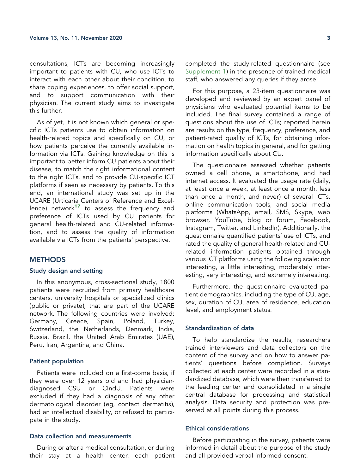consultations, ICTs are becoming increasingly important to patients with CU, who use ICTs to interact with each other about their condition, to share coping experiences, to offer social support, and to support communication with their physician. The current study aims to investigate this further.

As of yet, it is not known which general or specific ICTs patients use to obtain information on health-related topics and specifically on CU, or how patients perceive the currently available information via ICTs. Gaining knowledge on this is important to better inform CU patients about their disease, to match the right informational content to the right ICTs, and to provide CU-specific ICT platforms if seen as necessary by patients. To this end, an international study was set up in the UCARE (Urticaria Centers of Reference and Excel-lence) network<sup>[17](#page-13-8)</sup> to assess the frequency and preference of ICTs used by CU patients for general health-related and CU-related information, and to assess the quality of information available via ICTs from the patients' perspective.

### **METHODS**

# Study design and setting

In this anonymous, cross-sectional study, 1800 patients were recruited from primary healthcare centers, university hospitals or specialized clinics (public or private), that are part of the UCARE network. The following countries were involved: Germany, Greece, Spain, Poland, Turkey, Switzerland, the Netherlands, Denmark, India, Russia, Brazil, the United Arab Emirates (UAE), Peru, Iran, Argentina, and China.

#### Patient population

Patients were included on a first-come basis, if they were over 12 years old and had physiciandiagnosed CSU or CIndU. Patients were excluded if they had a diagnosis of any other dermatological disorder (eg, contact dermatitis), had an intellectual disability, or refused to participate in the study.

#### Data collection and measurements

During or after a medical consultation, or during their stay at a health center, each patient completed the study-related questionnaire (see Supplement 1) in the presence of trained medical staff, who answered any queries if they arose.

For this purpose, a 23-item questionnaire was developed and reviewed by an expert panel of physicians who evaluated potential items to be included. The final survey contained a range of questions about the use of ICTs; reported herein are results on the type, frequency, preference, and patient-rated quality of ICTs, for obtaining information on health topics in general, and for getting information specifically about CU.

The questionnaire assessed whether patients owned a cell phone, a smartphone, and had internet access. It evaluated the usage rate (daily, at least once a week, at least once a month, less than once a month, and never) of several ICTs, online communication tools, and social media platforms (WhatsApp, email, SMS, Skype, web browser, YouTube, blog or forum, Facebook, Instagram, Twitter, and LinkedIn). Additionally, the questionnaire quantified patients' use of ICTs, and rated the quality of general health-related and CUrelated information patients obtained through various ICT platforms using the following scale: not interesting, a little interesting, moderately interesting, very interesting, and extremely interesting.

Furthermore, the questionnaire evaluated patient demographics, including the type of CU, age, sex, duration of CU, area of residence, education level, and employment status.

#### Standardization of data

To help standardize the results, researchers trained interviewers and data collectors on the content of the survey and on how to answer patients' questions before completion. Surveys collected at each center were recorded in a standardized database, which were then transferred to the leading center and consolidated in a single central database for processing and statistical analysis. Data security and protection was preserved at all points during this process.

## Ethical considerations

Before participating in the survey, patients were informed in detail about the purpose of the study and all provided verbal informed consent.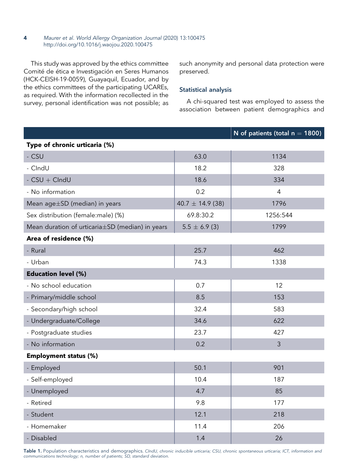This study was approved by the ethics committee Comité de ética e Investigación en Seres Humanos (HCK-CEISH-19-0059), Guayaquil, Ecuador, and by the ethics committees of the participating UCAREs, as required. With the information recollected in the survey, personal identification was not possible; as

such anonymity and personal data protection were preserved.

## Statistical analysis

A chi-squared test was employed to assess the association between patient demographics and

|                                                 |                      | N of patients (total $n = 1800$ ) |  |  |  |  |  |  |
|-------------------------------------------------|----------------------|-----------------------------------|--|--|--|--|--|--|
| Type of chronic urticaria (%)                   |                      |                                   |  |  |  |  |  |  |
| - CSU                                           | 63.0                 | 1134                              |  |  |  |  |  |  |
| - CIndU                                         | 18.2                 | 328                               |  |  |  |  |  |  |
| $-$ CSU $+$ ClndU                               | 18.6                 | 334                               |  |  |  |  |  |  |
| - No information                                | 0.2                  | 4                                 |  |  |  |  |  |  |
| Mean age±SD (median) in years                   | $40.7 \pm 14.9$ (38) | 1796                              |  |  |  |  |  |  |
| Sex distribution (female:male) (%)              | 69.8:30.2            | 1256:544                          |  |  |  |  |  |  |
| Mean duration of urticaria±SD (median) in years | $5.5 \pm 6.9$ (3)    | 1799                              |  |  |  |  |  |  |
| Area of residence (%)                           |                      |                                   |  |  |  |  |  |  |
| - Rural                                         | 25.7                 | 462                               |  |  |  |  |  |  |
| - Urban                                         | 74.3                 | 1338                              |  |  |  |  |  |  |
| <b>Education level (%)</b>                      |                      |                                   |  |  |  |  |  |  |
| - No school education                           | 0.7                  | 12                                |  |  |  |  |  |  |
| - Primary/middle school                         | 8.5                  | 153                               |  |  |  |  |  |  |
| - Secondary/high school                         | 32.4                 | 583                               |  |  |  |  |  |  |
| - Undergraduate/College                         | 34.6                 | 622                               |  |  |  |  |  |  |
| - Postgraduate studies                          | 23.7                 | 427                               |  |  |  |  |  |  |
| - No information                                | 0.2                  | $\mathfrak{Z}$                    |  |  |  |  |  |  |
| <b>Employment status (%)</b>                    |                      |                                   |  |  |  |  |  |  |
| - Employed                                      | 50.1                 | 901                               |  |  |  |  |  |  |
| - Self-employed                                 | 10.4                 | 187                               |  |  |  |  |  |  |
| - Unemployed                                    | 4.7                  | 85                                |  |  |  |  |  |  |
| - Retired                                       | 9.8                  | 177                               |  |  |  |  |  |  |
| - Student                                       | 12.1                 | 218                               |  |  |  |  |  |  |
| - Homemaker                                     | 11.4                 | 206                               |  |  |  |  |  |  |
| - Disabled                                      | 1.4                  | 26                                |  |  |  |  |  |  |
|                                                 |                      |                                   |  |  |  |  |  |  |

<span id="page-3-0"></span>Table 1. Population characteristics and demographics. CIndU, chronic inducible urticaria; CSU, chronic spontaneous urticaria; ICT, information and communications technology; n, number of patients; SD, standard deviation.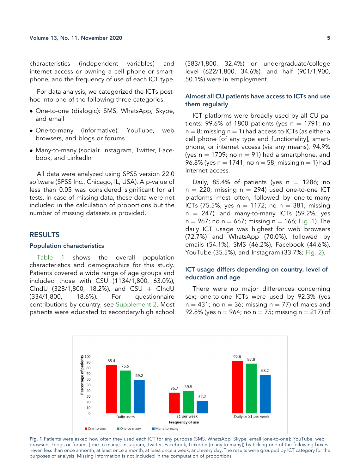characteristics (independent variables) and internet access or owning a cell phone or smartphone, and the frequency of use of each ICT type.

For data analysis, we categorized the ICTs posthoc into one of the following three categories:

- One-to-one (dialogic): SMS, WhatsApp, Skype, and email
- One-to-many (informative): YouTube, web browsers, and blogs or forums
- Many-to-many (social): Instagram, Twitter, Facebook, and LinkedIn

All data were analyzed using SPSS version 22.0 software (SPSS Inc., Chicago, IL, USA). A p-value of less than 0.05 was considered significant for all tests. In case of missing data, these data were not included in the calculation of proportions but the number of missing datasets is provided.

## RESULTS

#### Population characteristics

[Table 1](#page-3-0) shows the overall population characteristics and demographics for this study. Patients covered a wide range of age groups and included those with CSU (1134/1,800, 63.0%), CIndU (328/1,800, 18.2%), and CSU  $+$  CIndU<br>(334/1,800, 18.6%). For questionnaire questionnaire contributions by country, see Supplement 2. Most patients were educated to secondary/high school

(583/1,800, 32.4%) or undergraduate/college level (622/1,800, 34.6%), and half (901/1,900, 50.1%) were in employment.

# Almost all CU patients have access to ICTs and use them regularly

ICT platforms were broadly used by all CU patients: 99.6% of 1800 patients (yes  $n = 1791$ ; no  $n = 8$ ; missing n = 1) had access to ICTs (as either a cell phone [of any type and functionality], smartphone, or internet access (via any means), 94.9% (yes  $n = 1709$ ; no  $n = 91$ ) had a smartphone, and 96.8% (yes n = 1741; no n = 58; missing n = 1) had internet access.

Daily, 85.4% of patients (yes  $n = 1286$ ; no  $n = 220$ ; missing  $n = 294$ ) used one-to-one ICT platforms most often, followed by one-to-many ICTs (75.5%; yes  $n = 1172$ ; no  $n = 381$ ; missing  $n = 247$ ), and many-to-many ICTs (59.2%; yes  $n = 967$ ; no  $n = 667$ ; missing  $n = 166$ ; [Fig. 1](#page-4-0)). The daily ICT usage was highest for web browsers (72.7%) and WhatsApp (70.0%), followed by emails (54.1%), SMS (46.2%), Facebook (44.6%), YouTube (35.5%), and Instagram (33.7%; [Fig. 2](#page-5-0)).

# ICT usage differs depending on country, level of education and age

There were no major differences concerning sex; one-to-one ICTs were used by 92.3% (yes  $n = 431$ ; no  $n = 36$ ; missing  $n = 77$ ) of males and 92.8% (yes n = 964; no n = 75; missing n = 217) of

<span id="page-4-0"></span>

Fig. 1 Patients were asked how often they used each ICT for any purpose (SMS, WhatsApp, Skype, email [one-to-one]; YouTube, web browsers, blogs or forums [one-to-many]; Instagram, Twitter, Facebook, LinkedIn [many-to-many]) by ticking one of the following boxes: never, less than once a month, at least once a month, at least once a week, and every day. The results were grouped by ICT category for the purposes of analysis. Missing information is not included in the computation of proportions.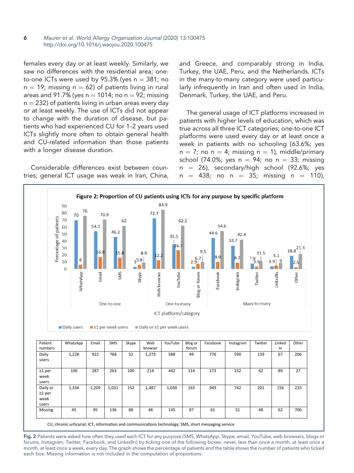females every day or at least weekly. Similarly, we saw no differences with the residential area; oneto-one ICTs were used by 95.3% (yes  $n = 381$ ; no  $n = 19$ ; missing  $n = 62$ ) of patients living in rural areas and 91.7% (yes  $n = 1014$ ; no  $n = 92$ ; missing  $n = 232$ ) of patients living in urban areas every day or at least weekly. The use of ICTs did not appear to change with the duration of disease, but patients who had experienced CU for 1–2 years used ICTs slightly more often to obtain general health and CU-related information than those patients with a longer disease duration.

<span id="page-5-0"></span>Considerable differences exist between countries; general ICT usage was weak in Iran, China, and Greece, and comparably strong in India, Turkey, the UAE, Peru, and the Netherlands. ICTs in the many-to-many category were used particularly infrequently in Iran and often used in India, Denmark, Turkey, the UAE, and Peru.

The general usage of ICT platforms increased in patients with higher levels of education, which was true across all three ICT categories; one-to-one ICT platforms were used every day or at least once a week in patients with no schooling (63.6%; yes  $n = 7$ ; no  $n = 4$ ; missing  $n = 1$ ), middle/primary school (74.0%; yes  $n = 94$ ; no  $n = 33$ ; missing  $n = 26$ ), secondary/high school (92.6%; yes<br> $n = 438$ ; no  $n = 35$ ; missing  $n = 110$ ),  $=$  438; no n = 35; missing n = 110),



Fig. 2 Patients were asked how often they used each ICT for any purpose (SMS, WhatsApp, Skype, email, YouTube, web browsers, blogs or forums, Instagram, Twitter, Facebook, and LinkedIn) by ticking one of the following boxes: never, less than once a month, at least once a month, at least once a week, every day. The graph shows the percentage of patients and the table shows the number of patients who ticked each box. Missing information is not included in the computation of proportions.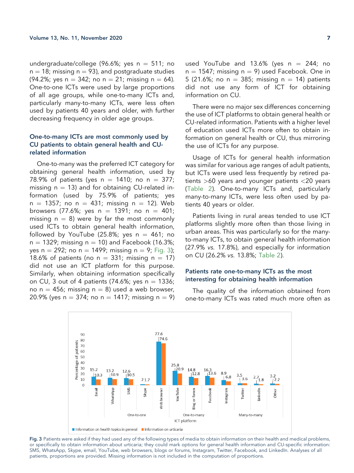undergraduate/college (96.6%; yes  $n = 511$ ; no  $n = 18$ ; missing  $n = 93$ ), and postgraduate studies (94.2%; yes  $n = 342$ ; no  $n = 21$ ; missing  $n = 64$ ). One-to-one ICTs were used by large proportions of all age groups, while one-to-many ICTs and, particularly many-to-many ICTs, were less often used by patients 40 years and older, with further decreasing frequency in older age groups.

# One-to-many ICTs are most commonly used by CU patients to obtain general health and CUrelated information

One-to-many was the preferred ICT category for obtaining general health information, used by 78.9% of patients (yes  $n = 1410$ ; no  $n = 377$ ; missing  $n = 13$ ) and for obtaining CU-related information (used by 75.9% of patients; yes  $n = 1357$ ; no  $n = 431$ ; missing  $n = 12$ ). Web browsers (77.6%; yes  $n = 1391$ ; no  $n = 401$ ; missing  $n = 8$ ) were by far the most commonly used ICTs to obtain general health information, followed by YouTube (25.8%; yes  $n = 461$ ; no  $n = 1329$ ; missing  $n = 10$ ) and Facebook (16.3%; yes n = 292; no n = 1499; missing n = 9; [Fig. 3\)](#page-6-0); 18.6% of patients (no  $n = 331$ ; missing  $n = 17$ ) did not use an ICT platform for this purpose. Similarly, when obtaining information specifically on CU, 3 out of 4 patients (74.6%; yes  $n = 1336$ ; no  $n = 456$ ; missing  $n = 8$ ) used a web browser, 20.9% (yes  $n = 374$ ; no  $n = 1417$ ; missing  $n = 9$ ) used YouTube and 13.6% (yes  $n = 244$ ; no  $n = 1547$ ; missing  $n = 9$ ) used Facebook. One in 5 (21.6%; no  $n = 385$ ; missing  $n = 14$ ) patients did not use any form of ICT for obtaining information on CU.

There were no major sex differences concerning the use of ICT platforms to obtain general health or CU-related information. Patients with a higher level of education used ICTs more often to obtain information on general health or CU, thus mirroring the use of ICTs for any purpose.

Usage of ICTs for general health information was similar for various age ranges of adult patients, but ICTs were used less frequently by retired patients >60 years and younger patients <20 years ([Table 2\)](#page-8-0). One-to-many ICTs and, particularly many-to-many ICTs, were less often used by patients 40 years or older.

Patients living in rural areas tended to use ICT platforms slightly more often than those living in urban areas. This was particularly so for the manyto-many ICTs, to obtain general health information (27.9% vs. 17.8%), and especially for information on CU (26.2% vs. 13.8%; [Table 2\)](#page-8-0).

## Patients rate one-to-many ICTs as the most interesting for obtaining health information

The quality of the information obtained from one-to-many ICTs was rated much more often as

<span id="page-6-0"></span>

Fig. 3 Patients were asked if they had used any of the following types of media to obtain information on their health and medical problems, or specifically to obtain information about urticaria; they could mark options for general health information and CU-specific information: SMS, WhatsApp, Skype, email, YouTube, web browsers, blogs or forums, Instagram, Twitter, Facebook, and LinkedIn. Analyses of all patients, proportions are provided. Missing information is not included in the computation of proportions.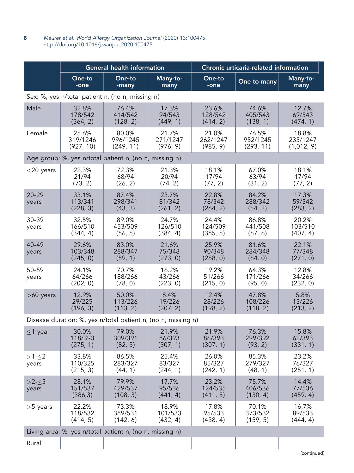|                                                               | <b>General health information</b> |                                |                               | Chronic urticaria-related information |                                |                                 |  |  |
|---------------------------------------------------------------|-----------------------------------|--------------------------------|-------------------------------|---------------------------------------|--------------------------------|---------------------------------|--|--|
|                                                               | One-to<br>-one                    | One-to<br>-many                | Many-to-<br>many              | One-to<br>-one                        | One-to-many                    | Many-to-<br>many                |  |  |
| Sex: %, yes n/total patient n, (no n, missing n)              |                                   |                                |                               |                                       |                                |                                 |  |  |
| Male                                                          | 32.8%<br>178/542<br>(364, 2)      | 76.4%<br>414/542<br>(128, 2)   | 17.3%<br>94/543<br>(449, 1)   | 23.6%<br>128/542<br>(414, 2)          | 74.6%<br>405/543<br>(138, 1)   | 12.7%<br>69/543<br>(474, 1)     |  |  |
| Female                                                        | 25.6%<br>319/1246<br>(927, 10)    | 80.0%<br>996/1245<br>(249, 11) | 21.7%<br>271/1247<br>(976, 9) | 21.0%<br>262/1247<br>(985, 9)         | 76.5%<br>952/1245<br>(293, 11) | 18.8%<br>235/1247<br>(1,012, 9) |  |  |
| Age group: %, yes n/total patient n, (no n, missing n)        |                                   |                                |                               |                                       |                                |                                 |  |  |
| $<$ 20 years                                                  | 22.3%<br>21/94<br>(73, 2)         | 72.3%<br>68/94<br>(26, 2)      | 21.3%<br>20/94<br>(74, 2)     | 18.1%<br>17/94<br>(77, 2)             | 67.0%<br>63/94<br>(31, 2)      | 18.1%<br>17/94<br>(77, 2)       |  |  |
| $20 - 29$<br>years                                            | 33.1%<br>113/341<br>(228, 3)      | 87.4%<br>298/341<br>(43, 3)    | 23.7%<br>81/342<br>(261, 2)   | 22.8%<br>78/342<br>(264, 2)           | 84.2%<br>288/342<br>(54, 2)    | 17.3%<br>59/342<br>(283, 2)     |  |  |
| 30-39<br>years                                                | 32.5%<br>166/510<br>(344, 4)      | 89.0%<br>453/509<br>(56, 5)    | 24.7%<br>126/510<br>(384, 4)  | 24.4%<br>124/509<br>(385, 5)          | 86.8%<br>441/508<br>(67, 6)    | 20.2%<br>103/510<br>(407, 4)    |  |  |
| 40-49<br>years                                                | 29.6%<br>103/348<br>(245, 0)      | 83.0%<br>288/347<br>(59, 1)    | 21.6%<br>75/348<br>(273, 0)   | 25.9%<br>90/348<br>(258, 0)           | 81.6%<br>284/348<br>(64, 0)    | 22.1%<br>77/348<br>(271, 0)     |  |  |
| 50-59<br>years                                                | 24.1%<br>64/266<br>(202, 0)       | 70.7%<br>188/266<br>(78, 0)    | 16.2%<br>43/266<br>(223, 0)   | 19.2%<br>51/266<br>(215, 0)           | 64.3%<br>171/266<br>(95, 0)    | 12.8%<br>34/266<br>(232, 0)     |  |  |
| $>60$ years                                                   | 12.9%<br>29/225<br>(196, 3)       | 50.0%<br>113/226<br>(113, 2)   | 8.4%<br>19/226<br>(207, 2)    | 12.4%<br>28/226<br>(198, 2)           | 47.8%<br>108/226<br>(118, 2)   | 5.8%<br>13/226<br>(213, 2)      |  |  |
| Disease duration: %, yes n/total patient n, (no n, missing n) |                                   |                                |                               |                                       |                                |                                 |  |  |
| $<$ 1 year                                                    | 30.0%                             | 79.0%                          | 21.9%                         | 21.9%                                 | 76.3%                          | 15.8%                           |  |  |

 $\leq$ 1 year | 30.0% 118/393 (275, 1) 79.0% 309/391 (82, 3) 21.9% 86/393 (307, 1) 21.9% 86/393 (307, 1) 76.3% 299/392 (93, 2) 62/393 (331, 1)  $>1 - 2$ years 33.8% 110/325 (215, 3) 86.5% 283/327 (44, 1) 25.4% 83/327 (244, 1) 26.0% 85/327 (242, 1) 85.3% 279/327 (48, 1) 23.2% 76/327 (251, 1)  $>2-5$ years 28.1% 151/537 (386,3) 79.9% 429/537 (108, 3) 17.7% 95/536  $(441, 4)$ 23.2% 124/535 (411, 5) 75.7% 406/536 (130, 4) 14.4% 77/536 (459, 4)  $>5$  years | 22.2% 118/532 (414, 5) 73.3% 389/531 (142, 6) 18.9% 101/533 (432, 4) 17.8% 95/533 (438, 4) 70.1% 373/532 (159, 5) 16.7% 89/533 (444, 4)

Living area: %, yes n/total patient n, (no n, missing n)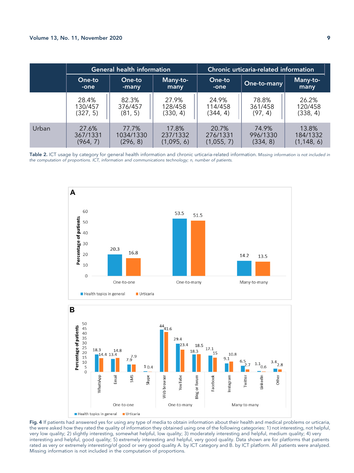|       | <b>General health information</b> |                 |                  | Chronic urticaria-related information |             |                  |
|-------|-----------------------------------|-----------------|------------------|---------------------------------------|-------------|------------------|
|       | One-to<br>-one                    | One-to<br>-many | Many-to-<br>many | One-to<br>-one                        | One-to-many | Many-to-<br>many |
|       | 28.4%                             | 82.3%           | 27.9%            | 24.9%                                 | 78.8%       | 26.2%            |
|       | 130/457                           | 376/457         | 128/458          | 114/458                               | 361/458     | 120/458          |
|       | (327, 5)                          | (81, 5)         | (330, 4)         | (344, 4)                              | (97, 4)     | (338, 4)         |
| Urban | 27.6%                             | 77.7%           | 17.8%            | 20.7%                                 | 74.9%       | 13.8%            |
|       | 367/1331                          | 1034/1330       | 237/1332         | 276/1331                              | 996/1330    | 184/1332         |
|       | (964, 7)                          | (296, 8)        | (1,095, 6)       | (1,055, 7)                            | (334, 8)    | (1, 148, 6)      |

<span id="page-8-1"></span><span id="page-8-0"></span>**Table 2.** ICT usage by category for general health information and chronic urticaria-related information. Missing information is not included in the computation of proportions. ICT, information and communications technology; n, number of patients.





Fig. 4 If patients had answered yes for using any type of media to obtain information about their health and medical problems or urticaria, the were asked how they rated the quality of information they obtained using one of the following categories: 1) not interesting, not helpful, very low quality; 2) slightly interesting, somewhat helpful, low quality; 3) moderately interesting and helpful, medium quality; 4) very interesting and helpful, good quality; 5) extremely interesting and helpful, very good quality. Data shown are for platforms that patients rated as very or extremely interesting/of good or very good quality A. by ICT category and B. by ICT platform. All patients were analyzed. Missing information is not included in the computation of proportions.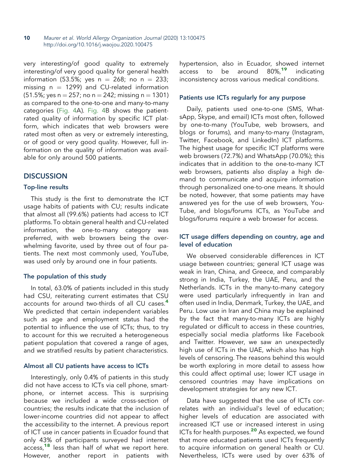very interesting/of good quality to extremely interesting/of very good quality for general health information (53.5%; yes  $n = 268$ ; no  $n = 233$ ; missing  $n = 1299$ ) and CU-related information  $(51.5\%;$  yes n = 257; no n = 242; missing n = 1301) as compared to the one-to-one and many-to-many categories [\(Fig. 4](#page-8-1)A). [Fig. 4B](#page-8-1) shows the patientrated quality of information by specific ICT platform, which indicates that web browsers were rated most often as very or extremely interesting, or of good or very good quality. However, full information on the quality of information was available for only around 500 patients.

# **DISCUSSION**

## Top-line results

This study is the first to demonstrate the ICT usage habits of patients with CU; results indicate that almost all (99.6%) patients had access to ICT platforms. To obtain general health and CU-related information, the one-to-many category was preferred, with web browsers being the overwhelming favorite, used by three out of four patients. The next most commonly used, YouTube, was used only by around one in four patients.

## The population of this study

In total, 63.0% of patients included in this study had CSU, reiterating current estimates that CSU accounts for around two-thirds of all CU cases.<sup>[4](#page-12-31)</sup> We predicted that certain independent variables such as age and employment status had the potential to influence the use of ICTs; thus, to try to account for this we recruited a heterogeneous patient population that covered a range of ages, and we stratified results by patient characteristics.

## Almost all CU patients have access to ICTs

Interestingly, only 0.4% of patients in this study did not have access to ICTs via cell phone, smartphone, or internet access. This is surprising because we included a wide cross-section of countries; the results indicate that the inclusion of lower-income countries did not appear to affect the accessibility to the internet. A previous report of ICT use in cancer patients in Ecuador found that only 43% of participants surveyed had internet access,<sup>[18](#page-13-9)</sup> less than half of what we report here. However, another report in patients with

hypertension, also in Ecuador, showed internet  $\arccos$  to be around  $80\%$ <sup>[19](#page-13-10)</sup> indicating inconsistency across various medical conditions.

## Patients use ICTs regularly for any purpose

Daily, patients used one-to-one (SMS, WhatsApp, Skype, and email) ICTs most often, followed by one-to-many (YouTube, web browsers, and blogs or forums), and many-to-many (Instagram, Twitter, Facebook, and LinkedIn) ICT platforms. The highest usage for specific ICT platforms were web browsers (72.7%) and WhatsApp (70.0%); this indicates that in addition to the one-to-many ICT web browsers, patients also display a high demand to communicate and acquire information through personalized one-to-one means. It should be noted, however, that some patients may have answered yes for the use of web browsers, You-Tube, and blogs/forums ICTs, as YouTube and blogs/forums require a web browser for access.

# ICT usage differs depending on country, age and level of education

We observed considerable differences in ICT usage between countries; general ICT usage was weak in Iran, China, and Greece, and comparably strong in India, Turkey, the UAE, Peru, and the Netherlands. ICTs in the many-to-many category were used particularly infrequently in Iran and often used in India, Denmark, Turkey, the UAE, and Peru. Low use in Iran and China may be explained by the fact that many-to-many ICTs are highly regulated or difficult to access in these countries, especially social media platforms like Facebook and Twitter. However, we saw an unexpectedly high use of ICTs in the UAE, which also has high levels of censoring. The reasons behind this would be worth exploring in more detail to assess how this could affect optimal use; lower ICT usage in censored countries may have implications on development strategies for any new ICT.

Data have suggested that the use of ICTs correlates with an individual's level of education; higher levels of education are associated with increased ICT use or increased interest in using ICTs for health purposes.<sup>[20](#page-13-11)</sup> As expected, we found that more educated patients used ICTs frequently to acquire information on general health or CU. Nevertheless, ICTs were used by over 63% of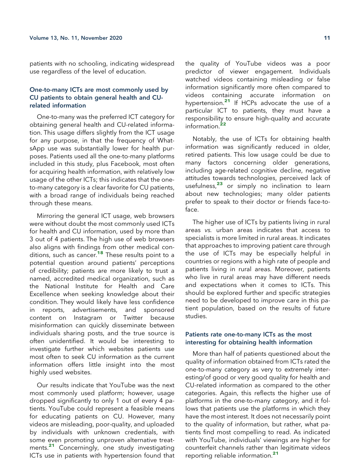patients with no schooling, indicating widespread use regardless of the level of education.

# One-to-many ICTs are most commonly used by CU patients to obtain general health and CUrelated information

One-to-many was the preferred ICT category for obtaining general health and CU-related information. This usage differs slightly from the ICT usage for any purpose, in that the frequency of WhatsApp use was substantially lower for health purposes. Patients used all the one-to-many platforms included in this study, plus Facebook, most often for acquiring health information, with relatively low usage of the other ICTs; this indicates that the oneto-many category is a clear favorite for CU patients, with a broad range of individuals being reached through these means.

Mirroring the general ICT usage, web browsers were without doubt the most commonly used ICTs for health and CU information, used by more than 3 out of 4 patients. The high use of web browsers also aligns with findings from other medical conditions, such as cancer.[18](#page-13-9) These results point to a potential question around patients' perceptions of credibility; patients are more likely to trust a named, accredited medical organization, such as the National Institute for Health and Care Excellence when seeking knowledge about their condition. They would likely have less confidence in reports, advertisements, and sponsored content on Instagram or Twitter because misinformation can quickly disseminate between individuals sharing posts, and the true source is often unidentified. It would be interesting to investigate further which websites patients use most often to seek CU information as the current information offers little insight into the most highly used websites.

Our results indicate that YouTube was the next most commonly used platform; however, usage dropped significantly to only 1 out of every 4 patients. YouTube could represent a feasible means for educating patients on CU. However, many videos are misleading, poor-quality, and uploaded by individuals with unknown credentials, with some even promoting unproven alternative treat-ments.<sup>[21](#page-13-12)</sup> Concerningly, one study investigating ICTs use in patients with hypertension found that

the quality of YouTube videos was a poor predictor of viewer engagement. Individuals watched videos containing misleading or false information significantly more often compared to videos containing accurate information on hypertension.<sup>[21](#page-13-12)</sup> If HCPs advocate the use of a particular ICT to patients, they must have a responsibility to ensure high-quality and accurate information.<sup>[22](#page-13-13)</sup>

Notably, the use of ICTs for obtaining health information was significantly reduced in older, retired patients. This low usage could be due to many factors concerning older generations, including age-related cognitive decline, negative attitudes towards technologies, perceived lack of usefulness,[23](#page-13-14) or simply no inclination to learn about new technologies; many older patients prefer to speak to their doctor or friends face-toface.

The higher use of ICTs by patients living in rural areas vs. urban areas indicates that access to specialists is more limited in rural areas. It indicates that approaches to improving patient care through the use of ICTs may be especially helpful in countries or regions with a high rate of people and patients living in rural areas. Moreover, patients who live in rural areas may have different needs and expectations when it comes to ICTs. This should be explored further and specific strategies need to be developed to improve care in this patient population, based on the results of future studies.

#### Patients rate one-to-many ICTs as the most interesting for obtaining health information

More than half of patients questioned about the quality of information obtained from ICTs rated the one-to-many category as very to extremely interesting/of good or very good quality for health and CU-related information as compared to the other categories. Again, this reflects the higher use of platforms in the one-to-many category, and it follows that patients use the platforms in which they have the most interest. It does not necessarily point to the quality of information, but rather, what patients find most compelling to read. As indicated with YouTube, individuals' viewings are higher for counterfeit channels rather than legitimate videos reporting reliable information.[21](#page-13-12)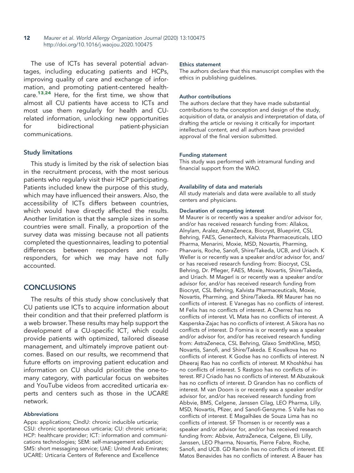The use of ICTs has several potential advantages, including educating patients and HCPs, improving quality of care and exchange of information, and promoting patient-centered healthcare.[13](#page-13-4),[24](#page-13-15) Here, for the first time, we show that almost all CU patients have access to ICTs and most use them regularly for health and CUrelated information, unlocking new opportunities for bidirectional patient-physician communications.

## Study limitations

This study is limited by the risk of selection bias in the recruitment process, with the most serious patients who regularly visit their HCP participating. Patients included knew the purpose of this study, which may have influenced their answers. Also, the accessibility of ICTs differs between countries, which would have directly affected the results. Another limitation is that the sample sizes in some countries were small. Finally, a proportion of the survey data was missing because not all patients completed the questionnaires, leading to potential differences between responders and nonresponders, for which we may have not fully accounted.

# **CONCLUSIONS**

The results of this study show conclusively that CU patients use ICTs to acquire information about their condition and that their preferred platform is a web browser. These results may help support the development of a CU-specific ICT, which could provide patients with optimized, tailored disease management, and ultimately improve patient outcomes. Based on our results, we recommend that future efforts on improving patient education and information on CU should prioritize the one-tomany category, with particular focus on websites and YouTube videos from accredited urticaria experts and centers such as those in the UCARE network.

#### Abbreviations

Apps: applications; CIndU: chronic inducible urticaria; CSU: chronic spontaneous urticaria; CU: chronic urticaria; HCP: healthcare provider; ICT: information and communications technologies; SEM: self-management education; SMS: short messaging service; UAE: United Arab Emirates; UCARE: Urticaria Centers of Reference and Excellence

#### Ethics statement

The authors declare that this manuscript complies with the ethics in publishing guidelines.

#### Author contributions

The authors declare that they have made substantial contributions to the conception and design of the study, acquisition of data, or analysis and interpretation of data, of drafting the article or revising it critically for important intellectual content, and all authors have provided approval of the final version submitted.

#### Funding statement

This study was performed with intramural funding and financial support from the WAO.

#### Availability of data and materials

All study materials and data were available to all study centers and physicians.

#### Declaration of competing interest

M Maurer is or recently was a speaker and/or advisor for, and/or has received research funding from: Allakos, Alnylam, Aralez, AstraZeneca, Biocryst, Blueprint, CSL Behring, FAES, Genentech, Kalvista Pharmaceuticals, LEO Pharma, Menarini, Moxie, MSD, Novartis, Pharming, Pharvaris, Roche, Sanofi, Shire/Takeda, UCB, and Uriach. K Weller is or recently was a speaker and/or advisor for, and/ or has received research funding from: Biocryst, CSL Behring, Dr. Pfleger, FAES, Moxie, Novartis, Shire/Takeda, and Uriach. M Magerl is or recently was a speaker and/or advisor for, and/or has received research funding from Biocryst, CSL Behring, Kalvista Pharmaceuticals, Moxie, Novartis, Pharming, and Shire/Takeda. RR Maurer has no conflicts of interest. E Vanegas has no conflicts of interest. M Felix has no conflicts of interest. A Cherrez has no conflicts of interest. VL Mata has no conflicts of interest. A Kasperska-Zajac has no conflicts of interest. A Sikora has no conflicts of interest. D Fomina is or recently was a speaker and/or advisor for, and/or has received research funding from: AstraZeneca, CSL Behring, Glaxo SmithKline, MSD, Novartis, Sanofi, and Shire/Takeda. E Kovalkova has no conflicts of interest. K Godse has no conflicts of interest. N Dheeraj Rao has no conflicts of interest. M Khoshkhui has no conflicts of interest. S Rastgoo has no conflicts of interest. RFJ Criado has no conflicts of interest. M Abuzakouk has no conflicts of interest. D Grandon has no conflicts of interest. M van Doorn is or recently was a speaker and/or advisor for, and/or has received research funding from Abbvie, BMS, Celgene, Janssen Cilag, LEO Pharma, Lilly, MSD, Novartis, Pfizer, and Sanofi-Genzyme. S Valle has no conflicts of interest. E Magalhães de Souza Lima has no conflicts of interest. SF Thomsen is or recently was a speaker and/or advisor for, and/or has received research funding from: Abbvie, AstraZeneca, Celgene, Eli Lilly, Janssen, LEO Pharma, Novartis, Pierre Fabre, Roche, Sanofi, and UCB. GD Ramón has no conflicts of interest. EE Matos Benavides has no conflicts of interest. A Bauer has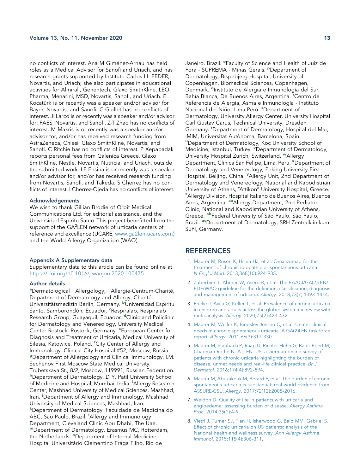no conflicts of interest. Ana M Giménez-Arnau has held roles as a Medical Advisor for Sanofi and Uriach, and has research grants supported by Instituto Carlos III- FEDER, Novartis, and Uriach; she also participates in educational activities for Almirall, Genentech, Glaxo SmithKline, LEO Pharma, Menarini, MSD, Novartis, Sanofi, and Uriach. E Kocatürk is or recently was a speaker and/or advisor for Bayer, Novartis, and Sanofi. C Guillet has no conflicts of interest. JI Larco is or recently was a speaker and/or advisor for: FAES, Novartis, and Sanofi. Z-T Zhao has no conflicts of interest. M Makris is or recently was a speaker and/or advisor for, and/or has received research funding from AstraZeneca, Chiesi, Glaxo SmithKline, Novartis, and Sanofi. C Ritchie has no conflicts of interest. P Xepapadak reports personal fees from Galenica Greece, Glaxo SmithKline, Nestle, Novartis, Nutricia, and Uriach, outside the submitted work. LF Ensina is or recently was a speaker and/or advisor for, and/or has received research funding from Novartis, Sanofi, and Takeda. S Cherrez has no conflicts of interest. I Cherrez-Ojeda has no conflicts of interest.

#### Acknowledgements

We wish to thank Gillian Brodie of Orbit Medical Communications Ltd. for editorial assistance, and the Universidad Espiritu Santo. This project benefitted from the support of the GA<sup>2</sup>LEN network of urticaria centers of reference and excellence (UCARE, [www.ga2len-ucare.com](http://www.ga2len-ucare.com/)) and the World Allergy Organization (WAO).

#### Appendix A Supplementary data

Supplementary data to this article can be found online at [https://doi.org/10.1016/j.waojou.2020.100475.](https://doi.org/10.1016/j.waojou.2020.100475)

#### Author details

<span id="page-12-12"></span><span id="page-12-11"></span><span id="page-12-10"></span><span id="page-12-9"></span><span id="page-12-8"></span><span id="page-12-7"></span><span id="page-12-6"></span><span id="page-12-5"></span><span id="page-12-4"></span><span id="page-12-3"></span><span id="page-12-2"></span><span id="page-12-1"></span><span id="page-12-0"></span>aDermatological Allergology, Allergie-Centrum-Charité, Department of Dermatology and Allergy, Charité - Universitätsmedizin Berlin, Germany. <sup>b</sup>Universidad Espíritu Santo, Samborondón, Ecuador. <sup>e</sup>Respiralab, Respiralab Research Group, Guayaquil, Ecuador. <sup>d</sup>Clinic and Policlinic for Dermatology and Venereology, University Medical Center Rostock, Rostock, Germany. <sup>e</sup> European Center for Diagnosis and Treatment of Urticaria, Medical University of Silesia, Katowice, Poland. <sup>f</sup>City Center of Allergy and Immunology, Clinical City Hospital #52, Moscow, Russia. **9Department of Allergology and Clinical Immunology, I.M.** Sechenov First Moscow State Medical University, Trubetskaya St., 8/2, Moscow, 119991, Russian Federation. h Department of Dermatology, D Y, Patil University School of Medicine and Hospital, Mumbai, India. <sup>i</sup>Allergy Research Center, Mashhad University of Medical Sciences, Mashhad, Iran. <sup>J</sup>Department of Allergy and Immunology, Mashhad University of Medical Sciences, Mashhad, Iran. k Department of Dermatology, Faculdade de Medicina do ABC, São Paulo, Brazil. <sup>I</sup>Allergy and Immunology Department, Cleveland Clinic Abu Dhabi, The Uae. <sup>m</sup>Department of Dermatology, Erasmus MC, Rotterdam, the Netherlands. "Department of Internal Medicine, Hospital Universitário Clementino Fraga Filho, Rio de

<span id="page-12-21"></span><span id="page-12-20"></span><span id="page-12-19"></span><span id="page-12-18"></span><span id="page-12-17"></span><span id="page-12-16"></span><span id="page-12-15"></span><span id="page-12-14"></span><span id="page-12-13"></span>Janeiro, Brazil. <sup>o</sup>Faculty of Science and Health of Juiz de Fora - SUPREMA - Minas Gerais. PDepartment of Dermatology, Bispebjerg Hospital, University of Copenhagen, Biomedical Sciences, Copenhagen, Denmark. <sup>q</sup>Instituto de Alergia e Inmunología del Sur, Bahía Blanca, De Buenos Aires, Argentina. "Centro de Referencia de Alergia, Asma e Inmunología - Instituto Nacional del Niño, Lima-Perú. <sup>s</sup>Department of Dermatology, University Allergy Center, University Hospital Carl Gustav Carus, Technical University, Dresden, Germany. <sup>t</sup>Department of Dermatology, Hospital del Mar, IMIM, Universitat Autònoma, Barcelona, Spain. "Department of Dermatology, Koç University School of Medicine, Istanbul, Turkey. <sup>V</sup>Department of Dermatology, University Hospital Zurich, Switzerland. WAllergy Department, Clinica San Felipe, Lima, Peru. \*Department of Dermatology and Venereology, Peking University First Hospital, Beijing, China. <sup>y</sup> Allergy Unit, 2nd Department of Dermatology and Venereology, National and Kapodistrian University of Athens, "Attikon" University Hospital, Greece. <sup>z</sup> Allergy Division, Hospital Italiano de Buenos Aires, Buenos Aires, Argentina. aa Allergy Department, 2nd Pediatric Clinic, National and Kapodistrian University of Athens, Greece. abFederal University of São Paulo, São Paulo, Brazil. <sup>ac</sup>Department of Dermatology, SRH Zentralklinikum Suhl, Germany.

## <span id="page-12-28"></span><span id="page-12-27"></span><span id="page-12-26"></span><span id="page-12-25"></span><span id="page-12-24"></span><span id="page-12-23"></span><span id="page-12-22"></span>**REFERENCES**

- 1. [Maurer M, Rosen K, Hsieh HJ, et al. Omalizumab for the](http://refhub.elsevier.com/S1939-4551(20)30378-1/sref1) [treatment of chronic idiopathic or spontaneous urticaria.](http://refhub.elsevier.com/S1939-4551(20)30378-1/sref1) N Engl J Med[. 2013;368\(10\):924](http://refhub.elsevier.com/S1939-4551(20)30378-1/sref1)–935.
- <span id="page-12-29"></span>2. [Zuberbier T, Aberer W, Asero R, et al. The EAACI/GA\(2\)LEN/](http://refhub.elsevier.com/S1939-4551(20)30378-1/sref2) [EDF/WAO guideline for the de](http://refhub.elsevier.com/S1939-4551(20)30378-1/sref2)finition, classification, diagnosis [and management of urticaria.](http://refhub.elsevier.com/S1939-4551(20)30378-1/sref2) Allergy. 2018;73(7):1393–1414.
- <span id="page-12-30"></span>3. [Fricke J, Avila G, Keller T, et al. Prevalence of chronic urticaria](http://refhub.elsevier.com/S1939-4551(20)30378-1/sref3) [in children and adults across the globe: systematic review with](http://refhub.elsevier.com/S1939-4551(20)30378-1/sref3) meta-analysis. Allergy[. 2020;75\(2\):423](http://refhub.elsevier.com/S1939-4551(20)30378-1/sref3)–432.
- <span id="page-12-31"></span>4. [Maurer M, Weller K, Bindslev-Jensen C, et al. Unmet clinical](http://refhub.elsevier.com/S1939-4551(20)30378-1/sref4) [needs in chronic spontaneous urticaria. A GA\(2\)LEN task force](http://refhub.elsevier.com/S1939-4551(20)30378-1/sref4) report. Allergy[. 2011;66\(3\):317](http://refhub.elsevier.com/S1939-4551(20)30378-1/sref4)–330.
- <span id="page-12-32"></span>5. [Maurer M, Staubach P, Raap U, Richter-Huhn G, Baier-Ebert M,](http://refhub.elsevier.com/S1939-4551(20)30378-1/sref5) [Chapman-Rothe N. ATTENTUS, a German online survey of](http://refhub.elsevier.com/S1939-4551(20)30378-1/sref5) [patients with chronic urticaria highlighting the burden of](http://refhub.elsevier.com/S1939-4551(20)30378-1/sref5) [disease, unmet needs and real-life clinical practice.](http://refhub.elsevier.com/S1939-4551(20)30378-1/sref5) Br J Dermatol[. 2016;174\(4\):892](http://refhub.elsevier.com/S1939-4551(20)30378-1/sref5)–894.
- 6. [Maurer M, Abuzakouk M, Berard F, et al. The burden of chronic](http://refhub.elsevier.com/S1939-4551(20)30378-1/sref6) [spontaneous urticaria is substantial: real-world evidence from](http://refhub.elsevier.com/S1939-4551(20)30378-1/sref6) ASSURE-CSU. Allergy[. 2017;72\(12\):2005](http://refhub.elsevier.com/S1939-4551(20)30378-1/sref6)–2016.
- 7. [Weldon D. Quality of life in patients with urticaria and](http://refhub.elsevier.com/S1939-4551(20)30378-1/sref7) [angioedema: assessing burden of disease.](http://refhub.elsevier.com/S1939-4551(20)30378-1/sref7) Allergy Asthma Proc[. 2014;35\(1\):4](http://refhub.elsevier.com/S1939-4551(20)30378-1/sref7)–9.
- 8. [Vietri J, Turner SJ, Tian H, Isherwood G, Balp MM, Gabriel S.](http://refhub.elsevier.com/S1939-4551(20)30378-1/sref8) [Effect of chronic urticaria on US patients: analysis of the](http://refhub.elsevier.com/S1939-4551(20)30378-1/sref8) [National health and wellness survey.](http://refhub.elsevier.com/S1939-4551(20)30378-1/sref8) Ann Allergy Asthma Immunol[. 2015;115\(4\):306](http://refhub.elsevier.com/S1939-4551(20)30378-1/sref8)–311.